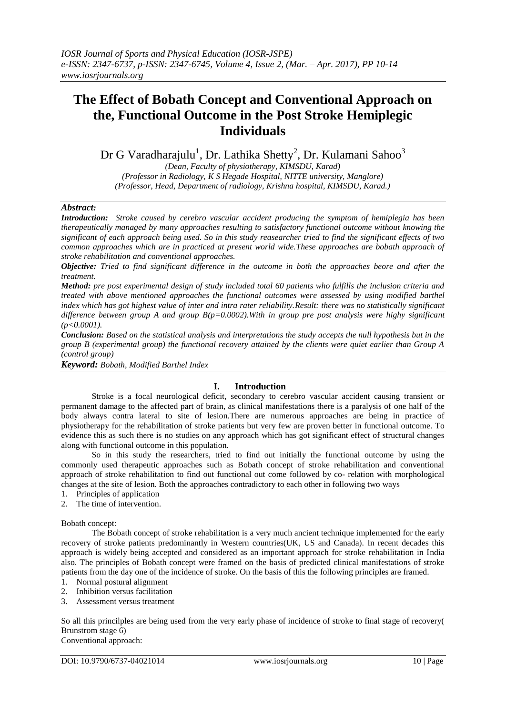# **The Effect of Bobath Concept and Conventional Approach on the, Functional Outcome in the Post Stroke Hemiplegic Individuals**

Dr G Varadharajulu $^1$ , Dr. Lathika Shetty $^2$ , Dr. Kulamani Sahoo $^3$ 

*(Dean, Faculty of physiotherapy, KIMSDU, Karad) (Professor in Radiology, K S Hegade Hospital, NITTE university, Manglore) (Professor, Head, Department of radiology, Krishna hospital, KIMSDU, Karad.)*

## *Abstract:*

*Introduction: Stroke caused by cerebro vascular accident producing the symptom of hemiplegia has been therapeutically managed by many approaches resulting to satisfactory functional outcome without knowing the significant of each approach being used. So in this study reasearcher tried to find the significant effects of two common approaches which are in practiced at present world wide.These approaches are bobath approach of stroke rehabilitation and conventional approaches.* 

*Objective: Tried to find significant difference in the outcome in both the approaches beore and after the treatment.* 

*Method: pre post experimental design of study included total 60 patients who fulfills the inclusion criteria and treated with above mentioned approaches the functional outcomes were assessed by using modified barthel index which has got highest value of inter and intra rater reliability.Result: there was no statistically significant difference between group A and group B(p=0.0002).With in group pre post analysis were highy significant (p<0.0001).*

*Conclusion: Based on the statistical analysis and interpretations the study accepts the null hypothesis but in the group B (experimental group) the functional recovery attained by the clients were quiet earlier than Group A (control group)* 

*Keyword: Bobath, Modified Barthel Index*

## **I. Introduction**

Stroke is a focal neurological deficit, secondary to cerebro vascular accident causing transient or permanent damage to the affected part of brain, as clinical manifestations there is a paralysis of one half of the body always contra lateral to site of lesion.There are numerous approaches are being in practice of physiotherapy for the rehabilitation of stroke patients but very few are proven better in functional outcome. To evidence this as such there is no studies on any approach which has got significant effect of structural changes along with functional outcome in this population.

So in this study the researchers, tried to find out initially the functional outcome by using the commonly used therapeutic approaches such as Bobath concept of stroke rehabilitation and conventional approach of stroke rehabilitation to find out functional out come followed by co- relation with morphological changes at the site of lesion. Both the approaches contradictory to each other in following two ways

- 1. Principles of application
- 2. The time of intervention.

Bobath concept:

The Bobath concept of stroke rehabilitation is a very much ancient technique implemented for the early recovery of stroke patients predominantly in Western countries(UK, US and Canada). In recent decades this approach is widely being accepted and considered as an important approach for stroke rehabilitation in India also. The principles of Bobath concept were framed on the basis of predicted clinical manifestations of stroke patients from the day one of the incidence of stroke. On the basis of this the following principles are framed.

- 1. Normal postural alignment
- 2. Inhibition versus facilitation
- 3. Assessment versus treatment

So all this princilples are being used from the very early phase of incidence of stroke to final stage of recovery( Brunstrom stage 6)

Conventional approach: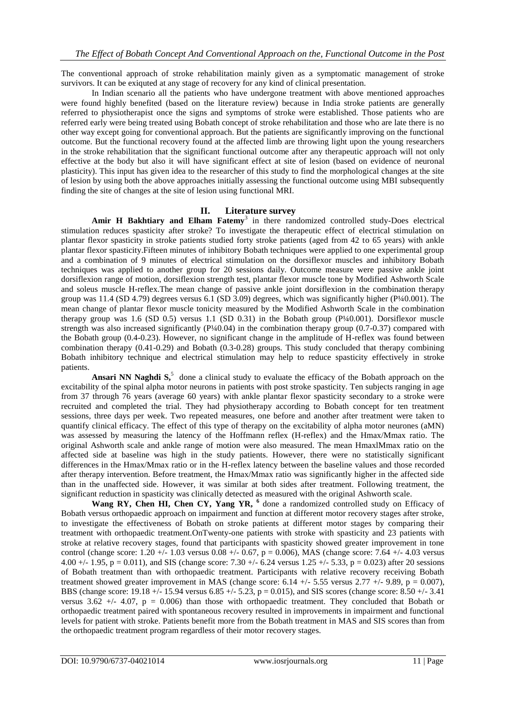The conventional approach of stroke rehabilitation mainly given as a symptomatic management of stroke survivors. It can be exiquited at any stage of recovery for any kind of clinical presentation.

In Indian scenario all the patients who have undergone treatment with above mentioned approaches were found highly benefited (based on the literature review) because in India stroke patients are generally referred to physiotherapist once the signs and symptoms of stroke were established. Those patients who are referred early were being treated using Bobath concept of stroke rehabilitation and those who are late there is no other way except going for conventional approach. But the patients are significantly improving on the functional outcome. But the functional recovery found at the affected limb are throwing light upon the young researchers in the stroke rehabilitation that the significant functional outcome after any therapeutic approach will not only effective at the body but also it will have significant effect at site of lesion (based on evidence of neuronal plasticity). This input has given idea to the researcher of this study to find the morphological changes at the site of lesion by using both the above approaches initially assessing the functional outcome using MBI subsequently finding the site of changes at the site of lesion using functional MRI.

#### **II. Literature survey**

Amir H Bakhtiary and Elham Fatemy<sup>3</sup> in there randomized controlled study-Does electrical stimulation reduces spasticity after stroke? To investigate the therapeutic effect of electrical stimulation on plantar flexor spasticity in stroke patients studied forty stroke patients (aged from 42 to 65 years) with ankle plantar flexor spasticity.Fifteen minutes of inhibitory Bobath techniques were applied to one experimental group and a combination of 9 minutes of electrical stimulation on the dorsiflexor muscles and inhibitory Bobath techniques was applied to another group for 20 sessions daily. Outcome measure were passive ankle joint dorsiflexion range of motion, dorsiflexion strength test, plantar flexor muscle tone by Modified Ashworth Scale and soleus muscle H-reflex.The mean change of passive ankle joint dorsiflexion in the combination therapy group was 11.4 (SD 4.79) degrees versus 6.1 (SD 3.09) degrees, which was significantly higher (P¼0.001). The mean change of plantar flexor muscle tonicity measured by the Modified Ashworth Scale in the combination therapy group was 1.6 (SD 0.5) versus 1.1 (SD 0.31) in the Bobath group (P¼0.001). Dorsiflexor muscle strength was also increased significantly  $(P/40.04)$  in the combination therapy group  $(0.7-0.37)$  compared with the Bobath group (0.4-0.23). However, no significant change in the amplitude of H-reflex was found between combination therapy (0.41-0.29) and Bobath (0.3-0.28) groups. This study concluded that therapy combining Bobath inhibitory technique and electrical stimulation may help to reduce spasticity effectively in stroke patients.

[Ansari NN](http://www.ncbi.nlm.nih.gov/pubmed?term=%22Ansari%20NN%22%5BAuthor%5D) Naghdi S<sup>5</sup> done a clinical study to evaluate the efficacy of the Bobath approach on the excitability of the spinal alpha motor neurons in patients with post stroke spasticity. Ten subjects ranging in age from 37 through 76 years (average 60 years) with ankle plantar flexor spasticity secondary to a stroke were recruited and completed the trial. They had physiotherapy according to Bobath concept for ten treatment sessions, three days per week. Two repeated measures, one before and another after treatment were taken to quantify clinical efficacy. The effect of this type of therapy on the excitability of alpha motor neurones (aMN) was assessed by measuring the latency of the Hoffmann reflex (H-reflex) and the Hmax/Mmax ratio. The original Ashworth scale and ankle range of motion were also measured. The mean HmaxlMmax ratio on the affected side at baseline was high in the study patients. However, there were no statistically significant differences in the Hmax/Mmax ratio or in the H-reflex latency between the baseline values and those recorded after therapy intervention. Before treatment, the Hmax/Mmax ratio was significantly higher in the affected side than in the unaffected side. However, it was similar at both sides after treatment. Following treatment, the significant reduction in spasticity was clinically detected as measured with the original Ashworth scale.

**[Wang RY,](http://www.ncbi.nlm.nih.gov/pubmed?term=%22Wang%20RY%22%5BAuthor%5D) [Chen HI,](http://www.ncbi.nlm.nih.gov/pubmed?term=%22Chen%20HI%22%5BAuthor%5D) [Chen CY,](http://www.ncbi.nlm.nih.gov/pubmed?term=%22Chen%20CY%22%5BAuthor%5D) [Yang YR,](http://www.ncbi.nlm.nih.gov/pubmed?term=%22Yang%20YR%22%5BAuthor%5D) 6** done a randomized controlled study on Efficacy of Bobath versus orthopaedic approach on impairment and function at different motor recovery stages after stroke, to investigate the effectiveness of Bobath on stroke patients at different motor stages by comparing their treatment with orthopaedic treatment.OnTwenty-one patients with stroke with spasticity and 23 patients with stroke at relative recovery stages, found that participants with spasticity showed greater improvement in tone control (change score: 1.20 +/- 1.03 versus 0.08 +/- 0.67, p = 0.006), MAS (change score: 7.64 +/- 4.03 versus 4.00 +/- 1.95, p = 0.011), and SIS (change score: 7.30 +/- 6.24 versus 1.25 +/- 5.33, p = 0.023) after 20 sessions of Bobath treatment than with orthopaedic treatment. Participants with relative recovery receiving Bobath treatment showed greater improvement in MAS (change score:  $6.14 +/- 5.55$  versus 2.77  $+/- 9.89$ , p = 0.007), BBS (change score: 19.18 +/- 15.94 versus 6.85 +/- 5.23, p = 0.015), and SIS scores (change score: 8.50 +/- 3.41 versus  $3.62 +/- 4.07$ ,  $p = 0.006$ ) than those with orthopaedic treatment. They concluded that Bobath or orthopaedic treatment paired with spontaneous recovery resulted in improvements in impairment and functional levels for patient with stroke. Patients benefit more from the Bobath treatment in MAS and SIS scores than from the orthopaedic treatment program regardless of their motor recovery stages.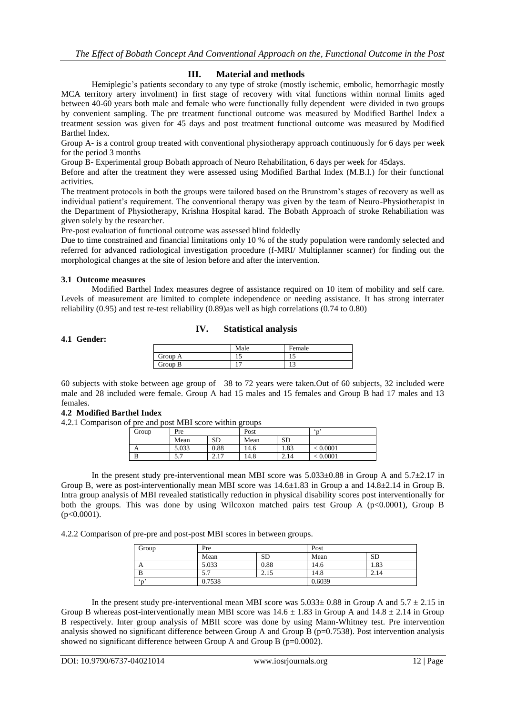## **III. Material and methods**

Hemiplegic's patients secondary to any type of stroke (mostly ischemic, embolic, hemorrhagic mostly MCA territory artery involment) in first stage of recovery with vital functions within normal limits aged between 40-60 years both male and female who were functionally fully dependent were divided in two groups by convenient sampling. The pre treatment functional outcome was measured by Modified Barthel Index a treatment session was given for 45 days and post treatment functional outcome was measured by Modified Barthel Index.

Group A- is a control group treated with conventional physiotherapy approach continuously for 6 days per week for the period 3 months

Group B- Experimental group Bobath approach of Neuro Rehabilitation, 6 days per week for 45days.

Before and after the treatment they were assessed using Modified Barthal Index (M.B.I.) for their functional activities.

The treatment protocols in both the groups were tailored based on the Brunstrom's stages of recovery as well as individual patient's requirement. The conventional therapy was given by the team of Neuro-Physiotherapist in the Department of Physiotherapy, Krishna Hospital karad. The Bobath Approach of stroke Rehabiliation was given solely by the researcher.

Pre-post evaluation of functional outcome was assessed blind foldedly

Due to time constrained and financial limitations only 10 % of the study population were randomly selected and referred for advanced radiological investigation procedure (f-MRI/ Multiplanner scanner) for finding out the morphological changes at the site of lesion before and after the intervention.

#### **3.1 Outcome measures**

Modified Barthel Index measures degree of assistance required on 10 item of mobility and self care. Levels of measurement are limited to complete independence or needing assistance. It has strong interrater reliability (0.95) and test re-test reliability (0.89)as well as high correlations (0.74 to 0.80)

## **IV. Statistical analysis**

## **4.1 Gender:**

|         | Male           | Female |
|---------|----------------|--------|
| Group A | ⊥J             | ⊥ ~    |
| Group B | $\overline{ }$ | . .    |

60 subjects with stoke between age group of 38 to 72 years were taken.Out of 60 subjects, 32 included were male and 28 included were female. Group A had 15 males and 15 females and Group B had 17 males and 13 females.

#### **4.2 Modified Barthel Index**

4.2.1 Comparison of pre and post MBI score within groups

| Group | Pre   |              | Post |           | $\sim$   |  |
|-------|-------|--------------|------|-----------|----------|--|
|       | Mean  | SD           | Mean | <b>SD</b> |          |  |
|       | 5.033 | 0.88         | 14.6 | 1.83      | < 0.0001 |  |
|       | J.I   | 17<br>4. L I | 14.8 | 2.14      | < 0.0001 |  |

In the present study pre-interventional mean MBI score was  $5.033\pm0.88$  in Group A and  $5.7\pm2.17$  in Group B, were as post-interventionally mean MBI score was 14.6±1.83 in Group a and 14.8±2.14 in Group B. Intra group analysis of MBI revealed statistically reduction in physical disability scores post interventionally for both the groups. This was done by using Wilcoxon matched pairs test Group A ( $p<0.0001$ ), Group B  $(p<0.0001)$ .

4.2.2 Comparison of pre-pre and post-post MBI scores in between groups.

| Group                | Pre        |           | Post   |           |  |
|----------------------|------------|-----------|--------|-----------|--|
|                      | Mean       | <b>SD</b> | Mean   | <b>SD</b> |  |
| $\Delta$             | 5.033      | 0.88      | 14.6   | 1.83      |  |
| B                    | - -<br>J.I | 2.15      | 14.8   | 2.14      |  |
| $\epsilon_{\rm max}$ | 0.7538     |           | 0.6039 |           |  |

In the present study pre-interventional mean MBI score was  $5.033\pm 0.88$  in Group A and  $5.7 \pm 2.15$  in Group B whereas post-interventionally mean MBI score was  $14.6 \pm 1.83$  in Group A and  $14.8 \pm 2.14$  in Group B respectively. Inter group analysis of MBII score was done by using Mann-Whitney test. Pre intervention analysis showed no significant difference between Group A and Group B ( $p=0.7538$ ). Post intervention analysis showed no significant difference between Group A and Group B (p=0.0002).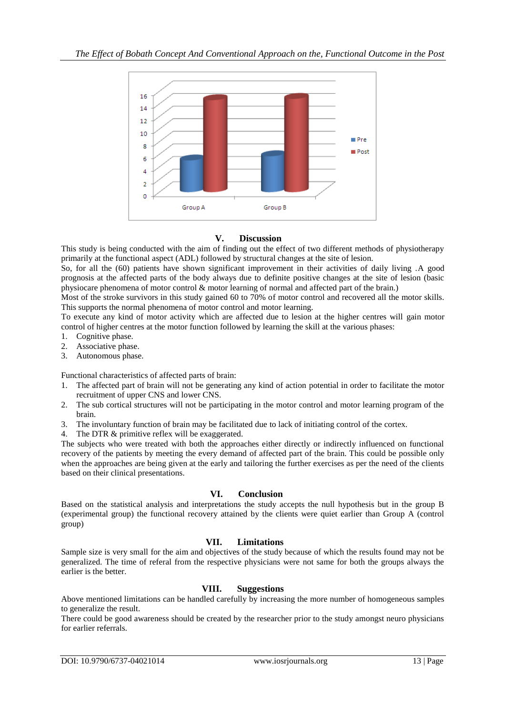

## **V. Discussion**

This study is being conducted with the aim of finding out the effect of two different methods of physiotherapy primarily at the functional aspect (ADL) followed by structural changes at the site of lesion.

So, for all the (60) patients have shown significant improvement in their activities of daily living .A good prognosis at the affected parts of the body always due to definite positive changes at the site of lesion (basic physiocare phenomena of motor control & motor learning of normal and affected part of the brain.)

Most of the stroke survivors in this study gained 60 to 70% of motor control and recovered all the motor skills. This supports the normal phenomena of motor control and motor learning.

To execute any kind of motor activity which are affected due to lesion at the higher centres will gain motor control of higher centres at the motor function followed by learning the skill at the various phases:

- 1. Cognitive phase.
- 2. Associative phase.
- 3. Autonomous phase.

Functional characteristics of affected parts of brain:

- 1. The affected part of brain will not be generating any kind of action potential in order to facilitate the motor recruitment of upper CNS and lower CNS.
- 2. The sub cortical structures will not be participating in the motor control and motor learning program of the brain.
- 3. The involuntary function of brain may be facilitated due to lack of initiating control of the cortex.
- 4. The DTR & primitive reflex will be exaggerated.

The subjects who were treated with both the approaches either directly or indirectly influenced on functional recovery of the patients by meeting the every demand of affected part of the brain. This could be possible only when the approaches are being given at the early and tailoring the further exercises as per the need of the clients based on their clinical presentations.

## **VI. Conclusion**

Based on the statistical analysis and interpretations the study accepts the null hypothesis but in the group B (experimental group) the functional recovery attained by the clients were quiet earlier than Group A (control group)

## **VII. Limitations**

Sample size is very small for the aim and objectives of the study because of which the results found may not be generalized. The time of referal from the respective physicians were not same for both the groups always the earlier is the better.

## **VIII. Suggestions**

Above mentioned limitations can be handled carefully by increasing the more number of homogeneous samples to generalize the result.

There could be good awareness should be created by the researcher prior to the study amongst neuro physicians for earlier referrals.